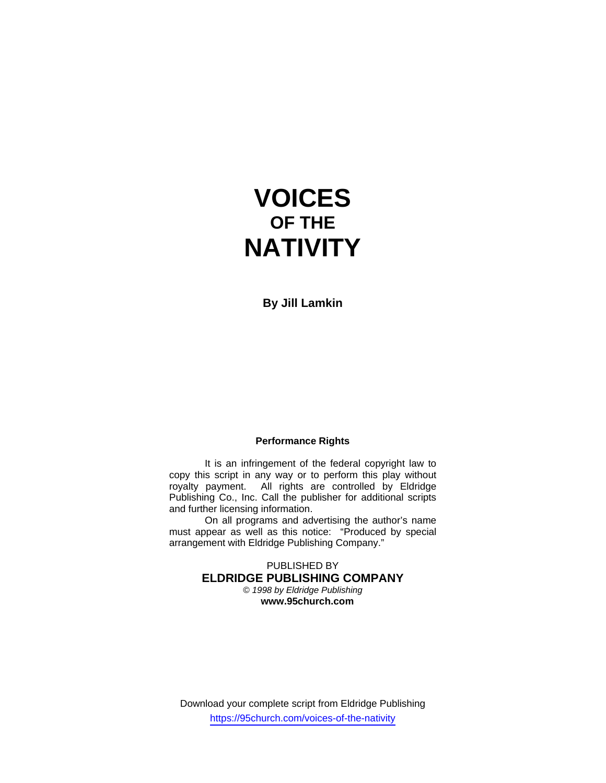# **VOICES OF THE NATIVITY**

**By Jill Lamkin** 

### **Performance Rights**

 It is an infringement of the federal copyright law to copy this script in any way or to perform this play without royalty payment. All rights are controlled by Eldridge Publishing Co., Inc. Call the publisher for additional scripts and further licensing information.

 On all programs and advertising the author's name must appear as well as this notice: "Produced by special arrangement with Eldridge Publishing Company."

> PUBLISHED BY **ELDRIDGE PUBLISHING COMPANY**  *© 1998 by Eldridge Publishing* **www.95church.com**

Download your complete script from Eldridge Publishing https://95church.com/voices-of-the-nativity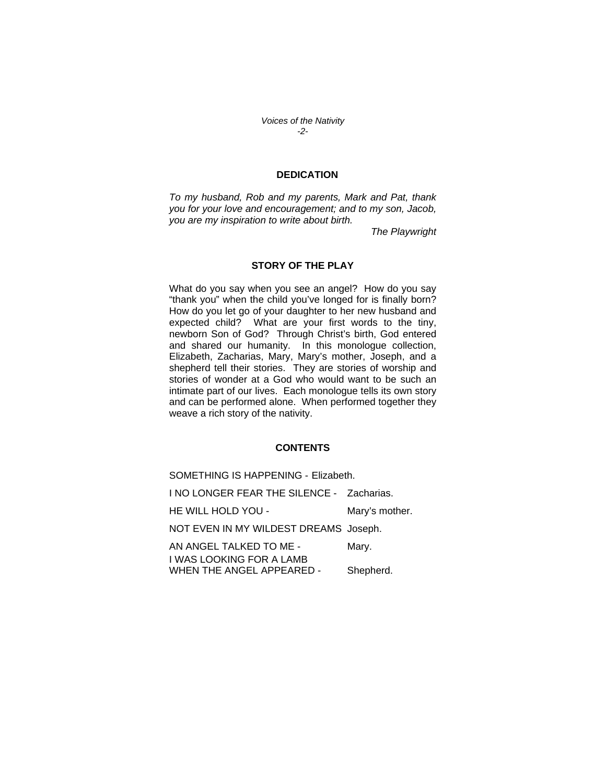*Voices of the Nativity -2-* 

#### **DEDICATION**

*To my husband, Rob and my parents, Mark and Pat, thank you for your love and encouragement; and to my son, Jacob, you are my inspiration to write about birth.* 

*The Playwright*

#### **STORY OF THE PLAY**

What do you say when you see an angel? How do you say "thank you" when the child you've longed for is finally born? How do you let go of your daughter to her new husband and expected child? What are your first words to the tiny, newborn Son of God? Through Christ's birth, God entered and shared our humanity. In this monologue collection, Elizabeth, Zacharias, Mary, Mary's mother, Joseph, and a shepherd tell their stories. They are stories of worship and stories of wonder at a God who would want to be such an intimate part of our lives. Each monologue tells its own story and can be performed alone. When performed together they weave a rich story of the nativity.

#### **CONTENTS**

SOMETHING IS HAPPENING - Elizabeth. I NO LONGER FEAR THE SILENCE - Zacharias. HE WILL HOLD YOU - Mary's mother. NOT EVEN IN MY WILDEST DREAMS Joseph. AN ANGEL TALKED TO ME - Mary. I WAS LOOKING FOR A LAMB WHEN THE ANGEL APPEARED - Shepherd.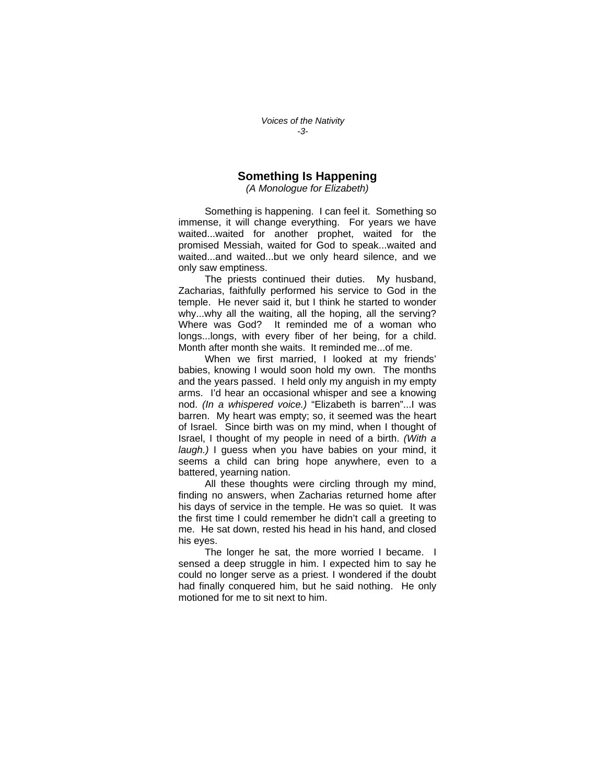## **Something Is Happening**

*(A Monologue for Elizabeth)* 

 Something is happening. I can feel it. Something so immense, it will change everything. For years we have waited...waited for another prophet, waited for the promised Messiah, waited for God to speak...waited and waited...and waited...but we only heard silence, and we only saw emptiness.

The priests continued their duties. My husband, Zacharias, faithfully performed his service to God in the temple. He never said it, but I think he started to wonder why...why all the waiting, all the hoping, all the serving? Where was God? It reminded me of a woman who longs...longs, with every fiber of her being, for a child. Month after month she waits. It reminded me...of me.

 When we first married, I looked at my friends' babies, knowing I would soon hold my own. The months and the years passed. I held only my anguish in my empty arms. I'd hear an occasional whisper and see a knowing nod. *(In a whispered voice.)* "Elizabeth is barren"...I was barren. My heart was empty; so, it seemed was the heart of Israel. Since birth was on my mind, when I thought of Israel, I thought of my people in need of a birth. *(With a laugh.)* I guess when you have babies on your mind, it seems a child can bring hope anywhere, even to a battered, yearning nation.

 All these thoughts were circling through my mind, finding no answers, when Zacharias returned home after his days of service in the temple. He was so quiet. It was the first time I could remember he didn't call a greeting to me. He sat down, rested his head in his hand, and closed his eyes.

 The longer he sat, the more worried I became. I sensed a deep struggle in him. I expected him to say he could no longer serve as a priest. I wondered if the doubt had finally conquered him, but he said nothing. He only motioned for me to sit next to him.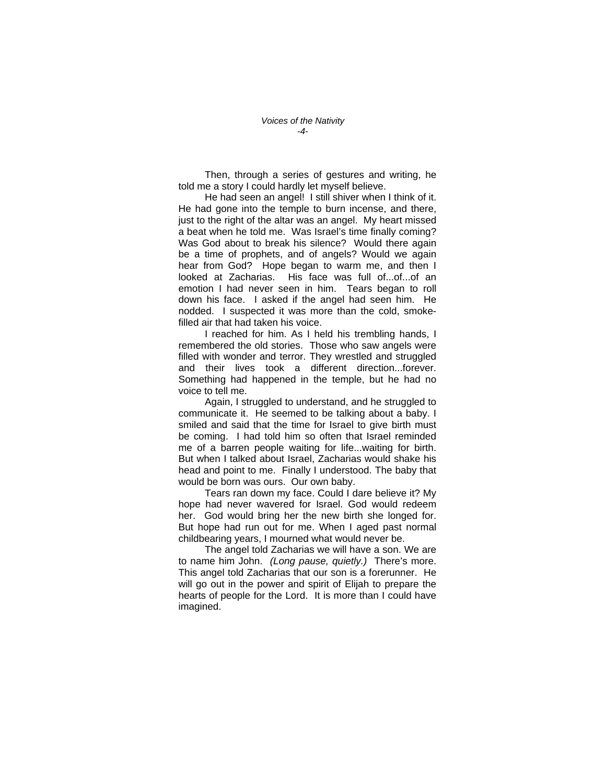Then, through a series of gestures and writing, he told me a story I could hardly let myself believe.

 He had seen an angel! I still shiver when I think of it. He had gone into the temple to burn incense, and there, just to the right of the altar was an angel. My heart missed a beat when he told me. Was Israel's time finally coming? Was God about to break his silence? Would there again be a time of prophets, and of angels? Would we again hear from God? Hope began to warm me, and then I looked at Zacharias. His face was full of...of...of an emotion I had never seen in him. Tears began to roll down his face. I asked if the angel had seen him. He nodded. I suspected it was more than the cold, smokefilled air that had taken his voice.

 I reached for him. As I held his trembling hands, I remembered the old stories. Those who saw angels were filled with wonder and terror. They wrestled and struggled and their lives took a different direction...forever. Something had happened in the temple, but he had no voice to tell me.

 Again, I struggled to understand, and he struggled to communicate it. He seemed to be talking about a baby. I smiled and said that the time for Israel to give birth must be coming. I had told him so often that Israel reminded me of a barren people waiting for life...waiting for birth. But when I talked about Israel, Zacharias would shake his head and point to me. Finally I understood. The baby that would be born was ours. Our own baby.

 Tears ran down my face. Could I dare believe it? My hope had never wavered for Israel. God would redeem her. God would bring her the new birth she longed for. But hope had run out for me. When I aged past normal childbearing years, I mourned what would never be.

 The angel told Zacharias we will have a son. We are to name him John. *(Long pause, quietly.)* There's more. This angel told Zacharias that our son is a forerunner. He will go out in the power and spirit of Elijah to prepare the hearts of people for the Lord. It is more than I could have imagined.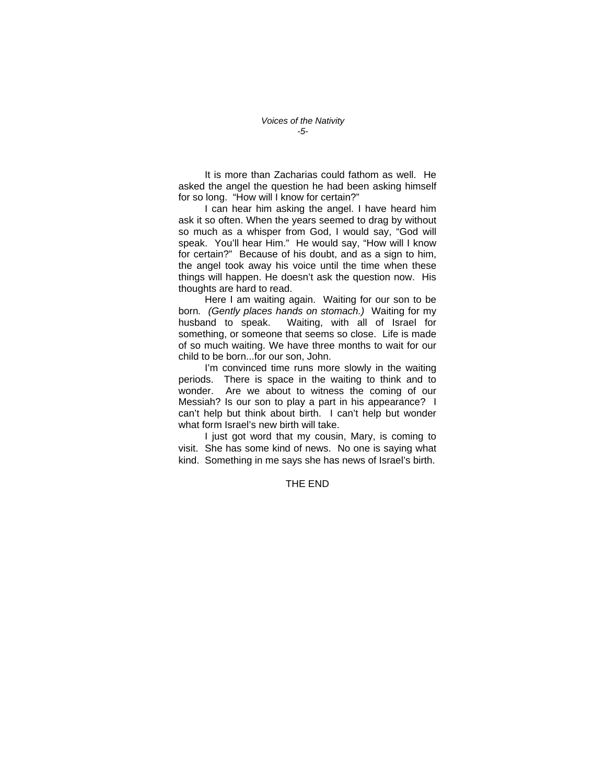It is more than Zacharias could fathom as well. He asked the angel the question he had been asking himself for so long. "How will I know for certain?"

 I can hear him asking the angel. I have heard him ask it so often. When the years seemed to drag by without so much as a whisper from God, I would say, "God will speak. You'll hear Him." He would say, "How will I know for certain?" Because of his doubt, and as a sign to him, the angel took away his voice until the time when these things will happen. He doesn't ask the question now. His thoughts are hard to read.

 Here I am waiting again. Waiting for our son to be born*. (Gently places hands on stomach.)* Waiting for my husband to speak. Waiting, with all of Israel for something, or someone that seems so close. Life is made of so much waiting. We have three months to wait for our child to be born...for our son, John.

I'm convinced time runs more slowly in the waiting periods. There is space in the waiting to think and to wonder. Are we about to witness the coming of our Messiah? Is our son to play a part in his appearance? I can't help but think about birth. I can't help but wonder what form Israel's new birth will take.

I just got word that my cousin, Mary, is coming to visit. She has some kind of news. No one is saying what kind. Something in me says she has news of Israel's birth.

THE END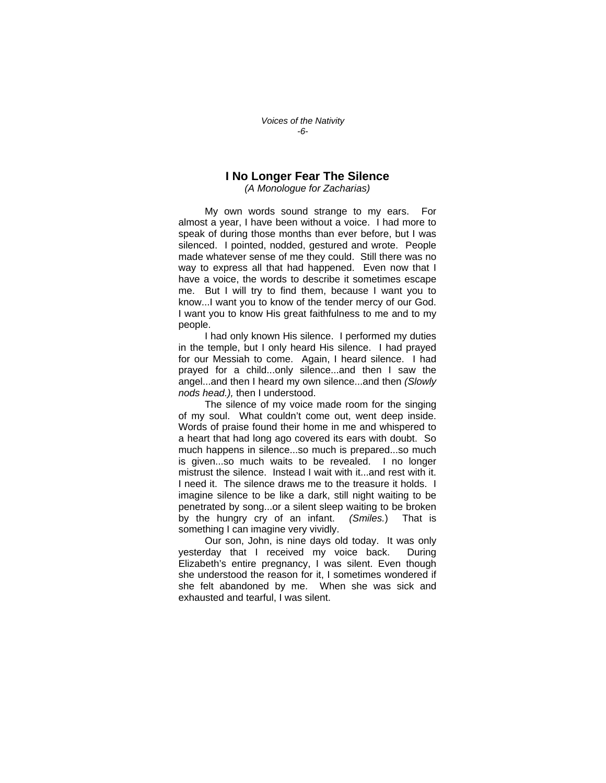## **I No Longer Fear The Silence**

*(A Monologue for Zacharias)* 

 My own words sound strange to my ears. For almost a year, I have been without a voice. I had more to speak of during those months than ever before, but I was silenced. I pointed, nodded, gestured and wrote. People made whatever sense of me they could. Still there was no way to express all that had happened. Even now that I have a voice, the words to describe it sometimes escape me. But I will try to find them, because I want you to know...I want you to know of the tender mercy of our God. I want you to know His great faithfulness to me and to my people.

 I had only known His silence. I performed my duties in the temple, but I only heard His silence. I had prayed for our Messiah to come. Again, I heard silence. I had prayed for a child...only silence...and then I saw the angel...and then I heard my own silence...and then *(Slowly nods head.),* then I understood.

 The silence of my voice made room for the singing of my soul. What couldn't come out, went deep inside. Words of praise found their home in me and whispered to a heart that had long ago covered its ears with doubt. So much happens in silence...so much is prepared...so much is given...so much waits to be revealed. I no longer mistrust the silence. Instead I wait with it...and rest with it. I need it. The silence draws me to the treasure it holds. I imagine silence to be like a dark, still night waiting to be penetrated by song...or a silent sleep waiting to be broken by the hungry cry of an infant. *(Smiles.*) That is something I can imagine very vividly.

 Our son, John, is nine days old today. It was only yesterday that I received my voice back. During Elizabeth's entire pregnancy, I was silent. Even though she understood the reason for it, I sometimes wondered if she felt abandoned by me. When she was sick and exhausted and tearful, I was silent.